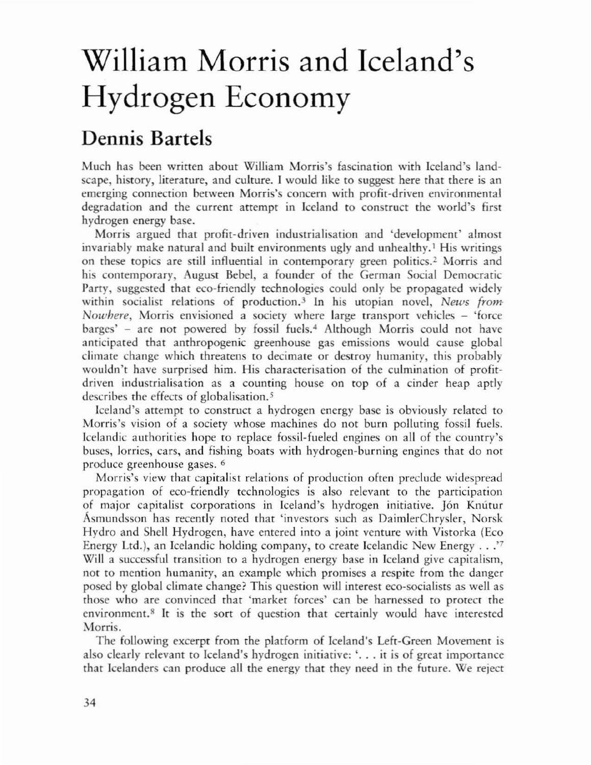## William Morris and Iceland's Hydrogen Economy

## Dennis Bartels

Much has been written about William Morris's fascination with Iceland's landscape, history, literature, and culture. I would like to suggest here that there is an emerging connection between Morris's concern with profit-driven environmental degradation and the current attempt in Iceland to construct the world's first hydrogen energy base.

Morris argued that profit-driven industrialisation and 'development' almost invariably make natural and built environments ugly and unhealthy.<sup>1</sup> His writings on these topics are still influential in contemporary green politics.<sup>2</sup> Morris and his contemporary, August Bebel, a founder of the German Social Democratic Party, suggested that eco-friendly technologies could only be propagated widely within socialist relations of production.<sup>3</sup> In his utopian novel, *News from*-*Nowhere, Morris envisioned a society where large transport vehicles - 'force* barges' - are not powered by fossil fuels.<sup>4</sup> Although Morris could not have anticipated that anthropogenic greenhouse gas emissions would cause global climate change which threatens ro decimate or destroy humanity, this probably wouldn't have surprised him. His characterisation of the culmination of profitdriven industrialisation as a counting house on top of a cinder heap aptly describes the effects of globalisation.<sup>5</sup>

Iceland's attempt to construct a hydrogen energy base is obviously related to Morris's vision of a society whose machines do not burn polluting fossil fuels. Icelandic authorities hope to replace fossil-fueled engines on all of the counrry's buses, lorries, cars, and fishing boats with hydrogen-burning engines that do nor produce greenhouse gases. 6

Morris's view that capitalist relations of production often preclude widespread propagation of eco-friendly technologies is also relevant to the participation of major capitalist corporations in Iceland's hydrogen initiative. Jón Knútur Asmundsson has recently noted that 'investors such as DaimlerChrysler, Norsk Hydro and Shell Hydrogen, have entered into a joint venture with Visrorka (Eco Energy Ltd.), an Icelandic holding company, to create Icelandic New Energy .. .'7 Will a successful transirion to a hydrogen energy base in Iceland give capitalism, not to mention humanity, an example which promises a respite from the danger posed by global climate change? This question will interest eco-socialists as well as those who are convinced that 'market forces' can be harnessed to protect the environment.<sup>8</sup> It is the sort of question that certainly would have interested Morris.

The following excerpt from the platform of Iceland's Left-Green Movement is also clearly relevant to Iceland's hydrogen initiative: '... it is of great importance that Icelanders can produce all the energy that they need in the future. We reject